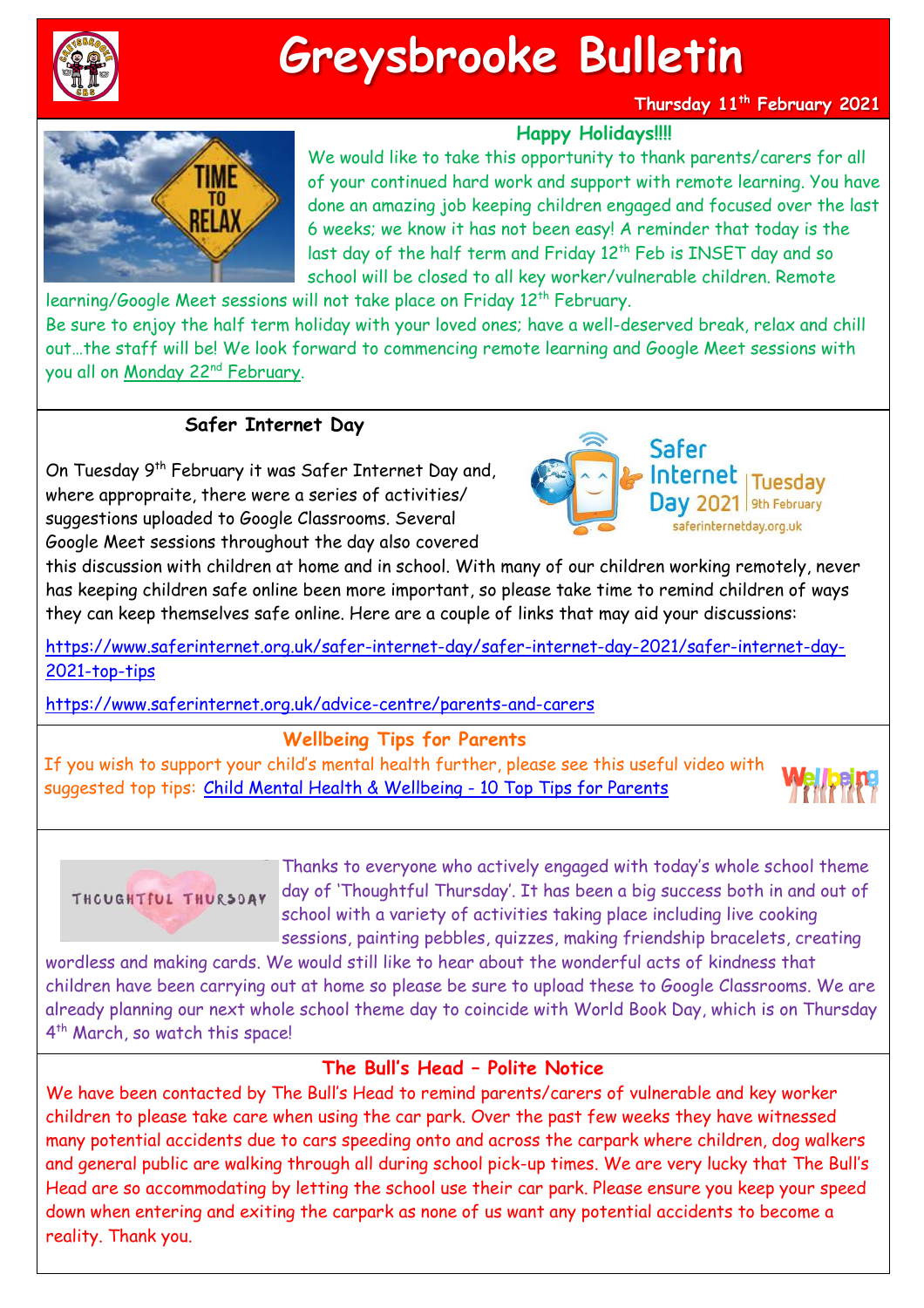

# **Greysbrooke Bulletin**

**Thursday 11th February 2021**

**Happy Holidays!!!!**

We would like to take this opportunity to thank parents/carers for all of your continued hard work and support with remote learning. You have done an amazing job keeping children engaged and focused over the last 6 weeks; we know it has not been easy! A reminder that today is the last day of the half term and Friday 12<sup>th</sup> Feb is INSET day and so school will be closed to all key worker/vulnerable children. Remote

learning/Google Meet sessions will not take place on Friday 12<sup>th</sup> February. Be sure to enjoy the half term holiday with your loved ones; have a well-deserved break, relax and chill out…the staff will be! We look forward to commencing remote learning and Google Meet sessions with you all on Monday 22nd February.

## **Safer Internet Day**

On Tuesday 9<sup>th</sup> February it was Safer Internet Day and, where appropraite, there were a series of activities/ suggestions uploaded to Google Classrooms. Several Google Meet sessions throughout the day also covered



this discussion with children at home and in school. With many of our children working remotely, never has keeping children safe online been more important, so please take time to remind children of ways they can keep themselves safe online. Here are a couple of links that may aid your discussions:

[https://www.saferinternet.org.uk/safer-internet-day/safer-internet-day-2021/safer-internet-day-](https://www.saferinternet.org.uk/safer-internet-day/safer-internet-day-2021/safer-internet-day-2021-top-tips)[2021-top-tips](https://www.saferinternet.org.uk/safer-internet-day/safer-internet-day-2021/safer-internet-day-2021-top-tips) 

<https://www.saferinternet.org.uk/advice-centre/parents-and-carers>

### **Wellbeing Tips for Parents**

If you wish to support your child's mental health further, please see this useful video with suggested top tips: Child Mental Health & [Wellbeing](https://www.youtube.com/watch?v=ld7tBeduqBI&feature=youtu.be) - 10 Top Tips for Parents





Thanks to everyone who actively engaged with today's whole school theme day of 'Thoughtful Thursday'. It has been a big success both in and out of school with a variety of activities taking place including live cooking sessions, painting pebbles, quizzes, making friendship bracelets, creating

wordless and making cards. We would still like to hear about the wonderful acts of kindness that children have been carrying out at home so please be sure to upload these to Google Classrooms. We are already planning our next whole school theme day to coincide with World Book Day, which is on Thursday 4 th March, so watch this space!

### **The Bull's Head – Polite Notice**

We have been contacted by The Bull's Head to remind parents/carers of vulnerable and key worker children to please take care when using the car park. Over the past few weeks they have witnessed many potential accidents due to cars speeding onto and across the carpark where children, dog walkers and general public are walking through all during school pick-up times. We are very lucky that The Bull's Head are so accommodating by letting the school use their car park. Please ensure you keep your speed down when entering and exiting the carpark as none of us want any potential accidents to become a reality. Thank you.